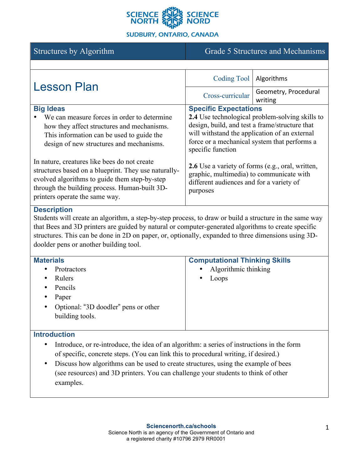

## **SUDBURY, ONTARIO, CANADA**

# Structures by Algorithm Grade 5 Structures and Mechanisms

| <b>Lesson Plan</b>                                                                                                                                                                                                                       | Coding Tool                                                                                                                                                 | Algorithms           |
|------------------------------------------------------------------------------------------------------------------------------------------------------------------------------------------------------------------------------------------|-------------------------------------------------------------------------------------------------------------------------------------------------------------|----------------------|
|                                                                                                                                                                                                                                          | Cross-curricular                                                                                                                                            | Geometry, Procedural |
|                                                                                                                                                                                                                                          |                                                                                                                                                             | writing              |
| <b>Big Ideas</b>                                                                                                                                                                                                                         | <b>Specific Expectations</b>                                                                                                                                |                      |
| We can measure forces in order to determine                                                                                                                                                                                              | <b>2.4</b> Use technological problem-solving skills to<br>design, build, and test a frame/structure that<br>will withstand the application of an external   |                      |
| how they affect structures and mechanisms.                                                                                                                                                                                               |                                                                                                                                                             |                      |
| This information can be used to guide the<br>design of new structures and mechanisms.                                                                                                                                                    |                                                                                                                                                             |                      |
|                                                                                                                                                                                                                                          | force or a mechanical system that performs a<br>specific function                                                                                           |                      |
| In nature, creatures like bees do not create<br>structures based on a blueprint. They use naturally-<br>evolved algorithms to guide them step-by-step<br>through the building process. Human-built 3D-<br>printers operate the same way. | <b>2.6</b> Use a variety of forms (e.g., oral, written,<br>graphic, multimedia) to communicate with<br>different audiences and for a variety of<br>purposes |                      |

#### **Description**

Students will create an algorithm, a step-by-step process, to draw or build a structure in the same way that Bees and 3D printers are guided by natural or computer-generated algorithms to create specific structures. This can be done in 2D on paper, or, optionally, expanded to three dimensions using 3Ddoolder pens or another building tool.

| <b>Materials</b>                                  | <b>Computational Thinking Skills</b> |
|---------------------------------------------------|--------------------------------------|
| Protractors<br>٠                                  | Algorithmic thinking<br>$\bullet$    |
| Rulers<br>٠                                       | Loops<br>$\bullet$                   |
| Pencils<br>٠                                      |                                      |
| Paper<br>٠                                        |                                      |
| Optional: "3D doodler" pens or other<br>$\bullet$ |                                      |
| building tools.                                   |                                      |

#### **Introduction**

- Introduce, or re-introduce, the idea of an algorithm: a series of instructions in the form of specific, concrete steps. (You can link this to procedural writing, if desired.)
- Discuss how algorithms can be used to create structures, using the example of bees (see resources) and 3D printers. You can challenge your students to think of other examples.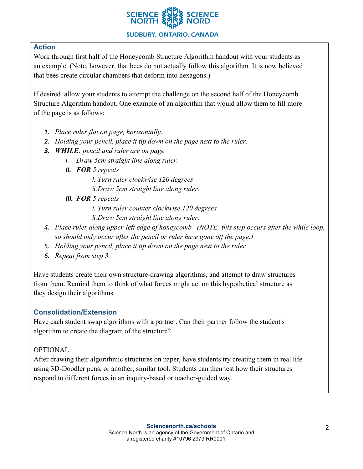

# **Action**

Work through first half of the Honeycomb Structure Algorithm handout with your students as an example. (Note, however, that bees do not actually follow this algorithm. It is now believed that bees create circular chambers that deform into hexagons.)

If desired, allow your students to attempt the challenge on the second half of the Honeycomb Structure Algorithm handout. One example of an algorithm that would allow them to fill more of the page is as follows:

- *1. Place ruler flat on page, horizontally.*
- *2. Holding your pencil, place it tip down on the page next to the ruler.*
- *3. WHILE: pencil and ruler are on page*
	- *I. Draw 5cm straight line along ruler.*
	- *II. FOR 5 repeats*
		- *i. Turn ruler clockwise 120 degrees*
		- *ii.Draw 5cm straight line along ruler.*
	- *III. FOR 5 repeats*
		- *i. Turn ruler counter clockwise 120 degrees*
		- *ii.Draw 5cm straight line along ruler.*
- *4. Place ruler along upper-left edge of honeycomb (NOTE: this step occurs after the while loop, so should only occur after the pencil or ruler have gone off the page.)*
- *5. Holding your pencil, place it tip down on the page next to the ruler.*
- *6. Repeat from step 3.*

Have students create their own structure-drawing algorithms, and attempt to draw structures from them. Remind them to think of what forces might act on this hypothetical structure as they design their algorithms.

## **Consolidation/Extension**

Have each student swap algorithms with a partner. Can their partner follow the student's algorithm to create the diagram of the structure?

## OPTIONAL:

After drawing their algorithmic structures on paper, have students try creating them in real life using 3D-Doodler pens, or another, similar tool. Students can then test how their structures respond to different forces in an inquiry-based or teacher-guided way.